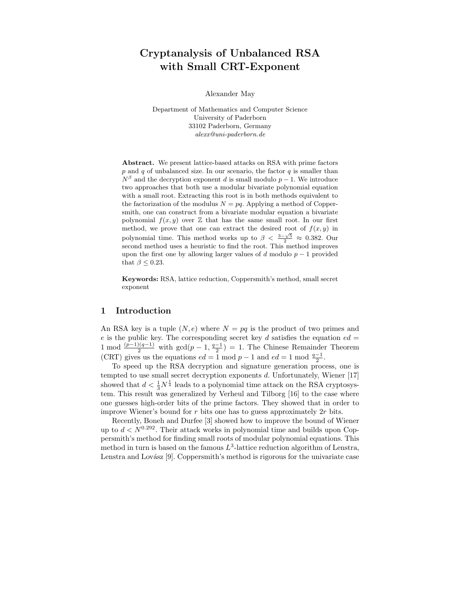# Cryptanalysis of Unbalanced RSA with Small CRT-Exponent

Alexander May

Department of Mathematics and Computer Science University of Paderborn 33102 Paderborn, Germany alexx@uni-paderborn.de

Abstract. We present lattice-based attacks on RSA with prime factors  $p$  and  $q$  of unbalanced size. In our scenario, the factor  $q$  is smaller than  $N^{\beta}$  and the decryption exponent d is small modulo  $p-1$ . We introduce two approaches that both use a modular bivariate polynomial equation with a small root. Extracting this root is in both methods equivalent to the factorization of the modulus  $N = pq$ . Applying a method of Coppersmith, one can construct from a bivariate modular equation a bivariate polynomial  $f(x, y)$  over  $\mathbb Z$  that has the same small root. In our first method, we prove that one can extract the desired root of  $f(x, y)$  in polynomial time. This method works up to  $\beta < \frac{3-\sqrt{5}}{2} \approx 0.382$ . Our second method uses a heuristic to find the root. This method improves upon the first one by allowing larger values of d modulo  $p-1$  provided that  $\beta \leq 0.23$ .

Keywords: RSA, lattice reduction, Coppersmith's method, small secret exponent

#### 1 Introduction

An RSA key is a tuple  $(N, e)$  where  $N = pq$  is the product of two primes and e is the public key. The corresponding secret key d satisfies the equation  $ed =$ 1 mod  $\frac{(p-1)(q-1)}{2}$  with  $gcd(p-1, \frac{q-1}{2}) = 1$ . The Chinese Remainder Theorem (CRT) gives us the equations  $ed = 1 \mod p - 1$  and  $ed = 1 \mod \frac{q-1}{2}$ .

To speed up the RSA decryption and signature generation process, one is tempted to use small secret decryption exponents  $d$ . Unfortunately, Wiener [17] showed that  $d < \frac{1}{3}N^{\frac{1}{4}}$  leads to a polynomial time attack on the RSA cryptosystem. This result was generalized by Verheul and Tilborg [16] to the case where one guesses high-order bits of the prime factors. They showed that in order to improve Wiener's bound for  $r$  bits one has to guess approximately  $2r$  bits.

Recently, Boneh and Durfee [3] showed how to improve the bound of Wiener up to  $d < N^{0.292}$ . Their attack works in polynomial time and builds upon Coppersmith's method for finding small roots of modular polynomial equations. This method in turn is based on the famous  $L^3$ -lattice reduction algorithm of Lenstra, Lenstra and Lovász [9]. Coppersmith's method is rigorous for the univariate case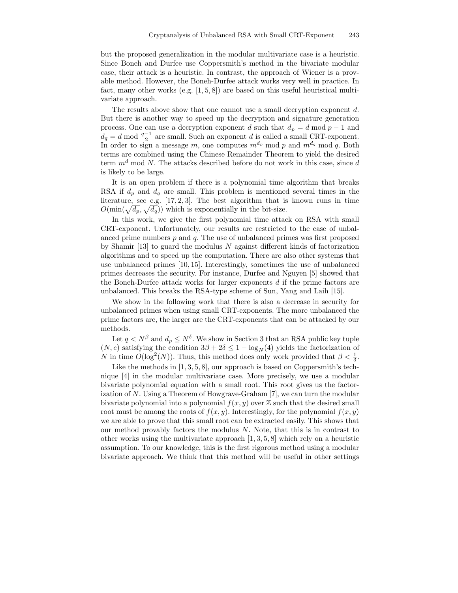but the proposed generalization in the modular multivariate case is a heuristic. Since Boneh and Durfee use Coppersmith's method in the bivariate modular case, their attack is a heuristic. In contrast, the approach of Wiener is a provable method. However, the Boneh-Durfee attack works very well in practice. In fact, many other works (e.g. [1, 5, 8]) are based on this useful heuristical multivariate approach.

The results above show that one cannot use a small decryption exponent d. But there is another way to speed up the decryption and signature generation process. One can use a decryption exponent d such that  $d_p = d \mod p - 1$  and  $d_q = d \mod \frac{q-1}{2}$  are small. Such an exponent d is called a small CRT-exponent. In order to sign a message m, one computes  $m^{d_p}$  mod p and  $m^{d_q}$  mod q. Both terms are combined using the Chinese Remainder Theorem to yield the desired term  $m<sup>d</sup>$  mod N. The attacks described before do not work in this case, since d is likely to be large.

It is an open problem if there is a polynomial time algorithm that breaks RSA if  $d_p$  and  $d_q$  are small. This problem is mentioned several times in the literature, see e.g.  $[17, 2, 3]$ . The best algorithm that is known runs in time  $O(\min(\sqrt{d_p}, \sqrt{d_q}))$  which is exponentially in the bit-size.

In this work, we give the first polynomial time attack on RSA with small CRT-exponent. Unfortunately, our results are restricted to the case of unbalanced prime numbers  $p$  and  $q$ . The use of unbalanced primes was first proposed by Shamir  $[13]$  to guard the modulus N against different kinds of factorization algorithms and to speed up the computation. There are also other systems that use unbalanced primes [10, 15]. Interestingly, sometimes the use of unbalanced primes decreases the security. For instance, Durfee and Nguyen [5] showed that the Boneh-Durfee attack works for larger exponents d if the prime factors are unbalanced. This breaks the RSA-type scheme of Sun, Yang and Laih [15].

We show in the following work that there is also a decrease in security for unbalanced primes when using small CRT-exponents. The more unbalanced the prime factors are, the larger are the CRT-exponents that can be attacked by our methods.

Let  $q < N^{\beta}$  and  $d_p \le N^{\delta}$ . We show in Section 3 that an RSA public key tuple  $(N, e)$  satisfying the condition  $3\beta + 2\delta \leq 1 - \log_N(4)$  yields the factorization of N in time  $O(\log^2(N))$ . Thus, this method does only work provided that  $\beta < \frac{1}{3}$ .

Like the methods in  $[1, 3, 5, 8]$ , our approach is based on Coppersmith's technique [4] in the modular multivariate case. More precisely, we use a modular bivariate polynomial equation with a small root. This root gives us the factorization of N. Using a Theorem of Howgrave-Graham [7], we can turn the modular bivariate polynomial into a polynomial  $f(x, y)$  over  $\mathbb Z$  such that the desired small root must be among the roots of  $f(x, y)$ . Interestingly, for the polynomial  $f(x, y)$ we are able to prove that this small root can be extracted easily. This shows that our method provably factors the modulus  $N$ . Note, that this is in contrast to other works using the multivariate approach  $[1, 3, 5, 8]$  which rely on a heuristic assumption. To our knowledge, this is the first rigorous method using a modular bivariate approach. We think that this method will be useful in other settings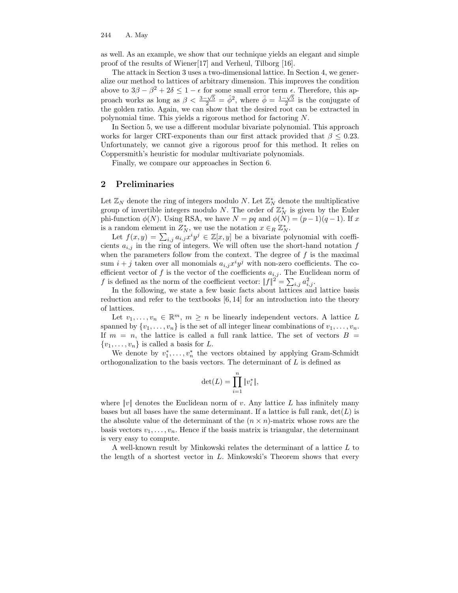as well. As an example, we show that our technique yields an elegant and simple proof of the results of Wiener[17] and Verheul, Tilborg [16].

The attack in Section 3 uses a two-dimensional lattice. In Section 4, we generalize our method to lattices of arbitrary dimension. This improves the condition above to  $3\beta - \beta^2 + 2\delta \leq 1 - \epsilon$  for some small error term  $\epsilon$ . Therefore, this approach works as long as  $\beta < \frac{3-\sqrt{5}}{2} = \hat{\phi}^2$ , where  $\hat{\phi} = \frac{1-\sqrt{5}}{2}$  is the conjugate of the golden ratio. Again, we can show that the desired root can be extracted in polynomial time. This yields a rigorous method for factoring N.

In Section 5, we use a different modular bivariate polynomial. This approach works for larger CRT-exponents than our first attack provided that  $\beta \leq 0.23$ . Unfortunately, we cannot give a rigorous proof for this method. It relies on Coppersmith's heuristic for modular multivariate polynomials.

Finally, we compare our approaches in Section 6.

### 2 Preliminaries

Let  $\mathbb{Z}_N$  denote the ring of integers modulo N. Let  $\mathbb{Z}_N^*$  denote the multiplicative group of invertible integers modulo N. The order of  $\mathbb{Z}_N^*$  is given by the Euler phi-function  $\phi(N)$ . Using RSA, we have  $N = pq$  and  $\phi(N) = (p-1)(q-1)$ . If x is a random element in  $Z_N^*$ , we use the notation  $x \in_R \mathbb{Z}_N^*$ .

Let  $f(x, y) = \sum_{i,j} a_{i,j} x^i y^j \in \mathbb{Z}[x, y]$  be a bivariate polynomial with coefficients  $a_{i,j}$  in the ring of integers. We will often use the short-hand notation f when the parameters follow from the context. The degree of  $f$  is the maximal sum  $i + j$  taken over all monomials  $a_{i,j}x^i y^j$  with non-zero coefficients. The coefficient vector of f is the vector of the coefficients  $a_{i,j}$ . The Euclidean norm of f is defined as the norm of the coefficient vector:  $||f||^2 = \sum_{i,j} a_{i,j}^2$ .

In the following, we state a few basic facts about lattices and lattice basis reduction and refer to the textbooks [6, 14] for an introduction into the theory of lattices.

Let  $v_1, \ldots, v_n \in \mathbb{R}^m$ ,  $m \geq n$  be linearly independent vectors. A lattice L spanned by  $\{v_1, \ldots, v_n\}$  is the set of all integer linear combinations of  $v_1, \ldots, v_n$ . If  $m = n$ , the lattice is called a full rank lattice. The set of vectors  $B =$  $\{v_1, \ldots, v_n\}$  is called a basis for L.

We denote by  $v_1^*, \ldots, v_n^*$  the vectors obtained by applying Gram-Schmidt orthogonalization to the basis vectors. The determinant of  $L$  is defined as

$$
\det(L) = \prod_{i=1}^n \|v_i^*\|,
$$

where  $||v||$  denotes the Euclidean norm of v. Any lattice L has infinitely many bases but all bases have the same determinant. If a lattice is full rank,  $det(L)$  is the absolute value of the determinant of the  $(n \times n)$ -matrix whose rows are the basis vectors  $v_1, \ldots, v_n$ . Hence if the basis matrix is triangular, the determinant is very easy to compute.

A well-known result by Minkowski relates the determinant of a lattice L to the length of a shortest vector in  $L$ . Minkowski's Theorem shows that every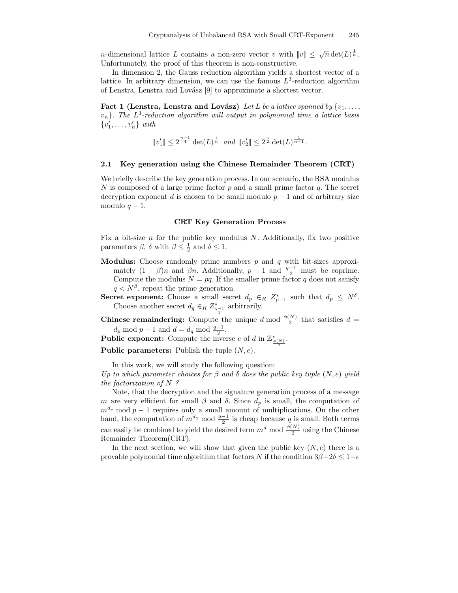*n*-dimensional lattice L contains a non-zero vector v with  $||v|| \leq \sqrt{n} \det(L)^{\frac{1}{n}}$ . Unfortunately, the proof of this theorem is non-constructive.

In dimension 2, the Gauss reduction algorithm yields a shortest vector of a lattice. In arbitrary dimension, we can use the famous  $L^3$ -reduction algorithm of Lenstra, Lenstra and Lovász  $[9]$  to approximate a shortest vector.

Fact 1 (Lenstra, Lenstra and Lovász) Let L be a lattice spanned by  $\{v_1, \ldots,$  $\{v_n\}$ . The  $L^3$ -reduction algorithm will output in polynomial time a lattice basis  $\{v'_1, \ldots, v'_n\}$  with

$$
||v'_1|| \leq 2^{\frac{n-1}{4}} \det(L)^{\frac{1}{n}}
$$
 and  $||v'_2|| \leq 2^{\frac{n}{2}} \det(L)^{\frac{1}{n-1}}$ .

#### 2.1 Key generation using the Chinese Remainder Theorem (CRT)

We briefly describe the key generation process. In our scenario, the RSA modulus N is composed of a large prime factor  $p$  and a small prime factor  $q$ . The secret decryption exponent d is chosen to be small modulo  $p-1$  and of arbitrary size modulo  $q - 1$ .

#### CRT Key Generation Process

Fix a bit-size  $n$  for the public key modulus  $N$ . Additionally, fix two positive parameters  $\beta$ ,  $\delta$  with  $\beta \leq \frac{1}{2}$  and  $\delta \leq 1$ .

- **Modulus:** Choose randomly prime numbers  $p$  and  $q$  with bit-sizes approximately  $(1 - \beta)n$  and  $\beta n$ . Additionally,  $p - 1$  and  $\frac{q-1}{2}$  must be coprime. Compute the modulus  $N = pq$ . If the smaller prime factor q does not satisfy  $q < N^{\beta}$ , repeat the prime generation.
- Secret exponent: Choose a small secret  $d_p \in_R Z_{p-1}^*$  such that  $d_p \leq N^{\delta}$ . Choose another secret  $d_q \in_R Z_{\frac{q-1}{2}}$  arbitrarily.
- **Chinese remaindering:** Compute the unique d mod  $\frac{\phi(N)}{2}$  $\frac{N}{2}$  that satisfies  $d =$  $d_p \mod p-1$  and  $d=d_q \mod \frac{q-1}{2}$ .

**Public exponent:** Compute the inverse e of d in  $\mathbb{Z}_{\frac{\phi(N)}{2}}^*$ .

**Public parameters:** Publish the tuple  $(N, e)$ .

In this work, we will study the following question:

Up to which parameter choices for  $\beta$  and  $\delta$  does the public key tuple  $(N, e)$  yield the factorization of  $N$ ?

Note, that the decryption and the signature generation process of a message m are very efficient for small  $\beta$  and  $\delta$ . Since  $d_p$  is small, the computation of  $m^{d_p}$  mod  $p-1$  requires only a small amount of multiplications. On the other hand, the computation of  $m^{d_q} \mod \frac{q-1}{2}$  is cheap because q is small. Both terms can easily be combined to yield the desired term  $m^d \bmod \frac{\phi(N)}{2}$  $\frac{N}{2}$  using the Chinese Remainder Theorem(CRT).

In the next section, we will show that given the public key  $(N, e)$  there is a provable polynomial time algorithm that factors N if the condition  $3\beta + 2\delta \leq 1-\epsilon$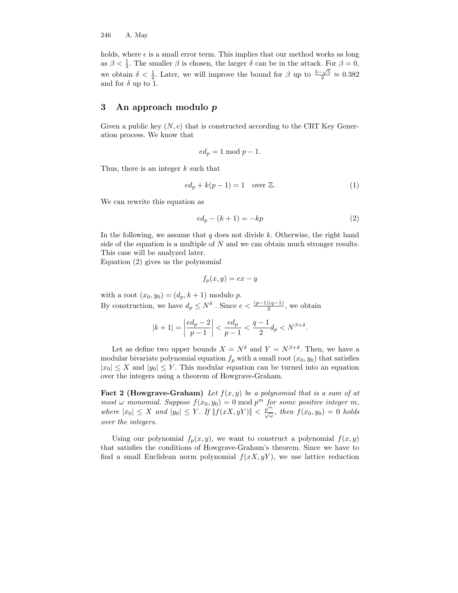holds, where  $\epsilon$  is a small error term. This implies that our method works as long as  $\beta < \frac{1}{3}$ . The smaller  $\beta$  is chosen, the larger  $\delta$  can be in the attack. For  $\beta = 0$ , we obtain  $\delta < \frac{1}{2}$ . Later, we will improve the bound for  $\beta$  up to  $\frac{3-\sqrt{5}}{2} \approx 0.382$ and for  $\delta$  up to 1.

### 3 An approach modulo p

Given a public key  $(N, e)$  that is constructed according to the CRT Key Generation process. We know that

$$
ed_p = 1 \bmod p - 1.
$$

Thus, there is an integer  $k$  such that

$$
ed_p + k(p-1) = 1 \quad \text{over } \mathbb{Z}.
$$
 (1)

We can rewrite this equation as

$$
ed_p - (k+1) = -kp \tag{2}
$$

In the following, we assume that  $q$  does not divide  $k$ . Otherwise, the right hand side of the equation is a multiple of  $N$  and we can obtain much stronger results. This case will be analyzed later.

Equation (2) gives us the polynomial

$$
f_p(x, y) = ex - y
$$

with a root  $(x_0, y_0) = (d_p, k + 1)$  modulo p. By construction, we have  $d_p \leq N^{\delta}$ . Since  $e < \frac{(p-1)(q-1)}{2}$ , we obtain

$$
|k+1| = \left| \frac{ed_p - 2}{p-1} \right| < \frac{ed_p}{p-1} < \frac{q-1}{2} d_p < N^{\beta + \delta}.
$$

Let as define two upper bounds  $X = N^{\delta}$  and  $Y = N^{\beta+\delta}$ . Then, we have a modular bivariate polynomial equation  $f_p$  with a small root  $(x_0, y_0)$  that satisfies  $|x_0| \leq X$  and  $|y_0| \leq Y$ . This modular equation can be turned into an equation over the integers using a theorem of Howgrave-Graham.

**Fact 2 (Howgrave-Graham)** Let  $f(x, y)$  be a polynomial that is a sum of at most  $\omega$  monomial. Suppose  $f(x_0, y_0) = 0 \text{ mod } p^m$  for some positive integer m, where  $|x_0| \leq X$  and  $|y_0| \leq Y$ . If  $||f(xX, yY)|| < \frac{p^m}{\sqrt{\omega}}$ , then  $f(x_0, y_0) = 0$  holds over the integers.

Using our polynomial  $f_p(x, y)$ , we want to construct a polynomial  $f(x, y)$ that satisfies the conditions of Howgrave-Graham's theorem. Since we have to find a small Euclidean norm polynomial  $f(xX, yY)$ , we use lattice reduction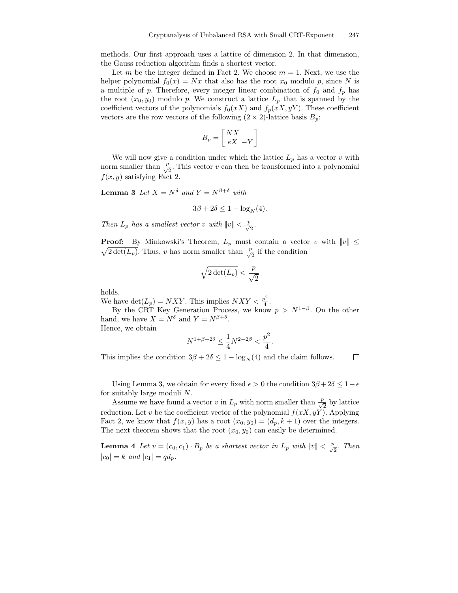methods. Our first approach uses a lattice of dimension 2. In that dimension, the Gauss reduction algorithm finds a shortest vector.

Let m be the integer defined in Fact 2. We choose  $m = 1$ . Next, we use the helper polynomial  $f_0(x) = Nx$  that also has the root  $x_0$  modulo p, since N is a multiple of p. Therefore, every integer linear combination of  $f_0$  and  $f_p$  has the root  $(x_0, y_0)$  modulo p. We construct a lattice  $L_p$  that is spanned by the coefficient vectors of the polynomials  $f_0(xX)$  and  $f_p(xX, yY)$ . These coefficient vectors are the row vectors of the following  $(2 \times 2)$ -lattice basis  $B_p$ :

$$
B_p = \left[\begin{array}{c}NX\\eX&-Y\end{array}\right]
$$

We will now give a condition under which the lattice  $L_p$  has a vector v with norm smaller than  $\frac{p}{\sqrt{2}}$ . This vector v can then be transformed into a polynomial  $f(x, y)$  satisfying Fact 2.

**Lemma 3** Let  $X = N^{\delta}$  and  $Y = N^{\beta+\delta}$  with

$$
3\beta + 2\delta \le 1 - \log_N(4).
$$

Then  $L_p$  has a smallest vector v with  $||v|| < \frac{p}{\sqrt{2}}$ .

**Proof:** By Minkowski's Theorem,  $L_p$  must contain a vector v with  $||v|| \le$  $\sqrt{2 \det(L_p)}$ . Thus, v has norm smaller than  $\frac{p}{\sqrt{2}}$  if the condition

$$
\sqrt{2\det(L_p)}<\frac{p}{\sqrt{2}}
$$

holds.

We have  $\det(L_p) = NXY$ . This implies  $NXY < \frac{p^2}{4}$  $\frac{p}{4}$ .

By the CRT Key Generation Process, we know  $p > N^{1-\beta}$ . On the other hand, we have  $X = N^{\delta}$  and  $Y = N^{\beta+\delta}$ .

Hence, we obtain

$$
N^{1+\beta+2\delta} \le \frac{1}{4}N^{2-2\beta} < \frac{p^2}{4}.
$$

 $\Box$ This implies the condition  $3\beta + 2\delta \leq 1 - \log_N(4)$  and the claim follows.

Using Lemma 3, we obtain for every fixed  $\epsilon > 0$  the condition  $3\beta + 2\delta \leq 1 - \epsilon$ for suitably large moduli N.

Assume we have found a vector v in  $L_p$  with norm smaller than  $\frac{p}{\sqrt{2}}$  by lattice reduction. Let v be the coefficient vector of the polynomial  $f(xX, yY)$ . Applying Fact 2, we know that  $f(x, y)$  has a root  $(x_0, y_0) = (d_p, k+1)$  over the integers. The next theorem shows that the root  $(x_0, y_0)$  can easily be determined.

**Lemma 4** Let  $v = (c_0, c_1) \cdot B_p$  be a shortest vector in  $L_p$  with  $||v|| < \frac{p}{\sqrt{2}}$ . Then  $|c_0| = k$  and  $|c_1| = qd_p$ .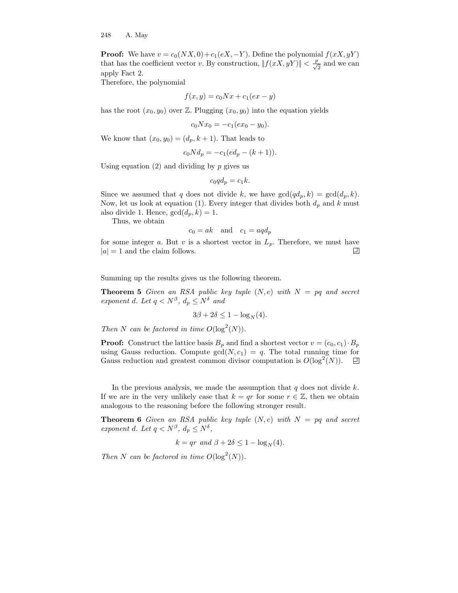**Proof:** We have  $v = c_0(NX, 0) + c_1(eX, -Y)$ . Define the polynomial  $f(xX, yY)$ that has the coefficient vector v. By construction,  $||f(xX, yY)|| < \frac{p}{\sqrt{2}}$  and we can apply Fact 2.

Therefore, the polynomial

$$
f(x,y) = c_0 N x + c_1 (e x - y)
$$

has the root  $(x_0, y_0)$  over Z. Plugging  $(x_0, y_0)$  into the equation yields

$$
c_0 N x_0 = -c_1 (e x_0 - y_0).
$$

We know that  $(x_0, y_0) = (d_p, k+1)$ . That leads to

$$
c_0 N d_p = -c_1 (e d_p - (k+1)).
$$

Using equation  $(2)$  and dividing by p gives us

$$
c_0 q d_p = c_1 k.
$$

Since we assumed that q does not divide k, we have  $gcd(qd_p, k) = gcd(d_p, k)$ . Now, let us look at equation (1). Every integer that divides both  $d_p$  and k must also divide 1. Hence,  $gcd(d_p, k) = 1$ .

Thus, we obtain

$$
c_0 = ak \quad \text{and} \quad c_1 = aq d_p
$$

for some integer a. But v is a shortest vector in  $L_p$ . Therefore, we must have  $|a| = 1$  and the claim follows. 囙

Summing up the results gives us the following theorem.

**Theorem 5** Given an RSA public key tuple  $(N, e)$  with  $N = pq$  and secret exponent d. Let  $q < N^{\beta}$ ,  $d_p \le N^{\delta}$  and

$$
3\beta + 2\delta \le 1 - \log_N(4).
$$

Then N can be factored in time  $O(\log^2(N)).$ 

**Proof:** Construct the lattice basis  $B_p$  and find a shortest vector  $v = (c_0, c_1) \cdot B_p$ using Gauss reduction. Compute  $gcd(N, c_1) = q$ . The total running time for Gauss reduction and greatest common divisor computation is  $O(\log^2(N))$ . 回

In the previous analysis, we made the assumption that  $q$  does not divide  $k$ . If we are in the very unlikely case that  $k = qr$  for some  $r \in \mathbb{Z}$ , then we obtain analogous to the reasoning before the following stronger result.

**Theorem 6** Given an RSA public key tuple  $(N, e)$  with  $N = pq$  and secret exponent d. Let  $q < N^{\beta}$ ,  $d_p \le N^{\delta}$ ,

$$
k = qr \ and \ \beta + 2\delta \le 1 - \log_N(4).
$$

Then N can be factored in time  $O(\log^2(N)).$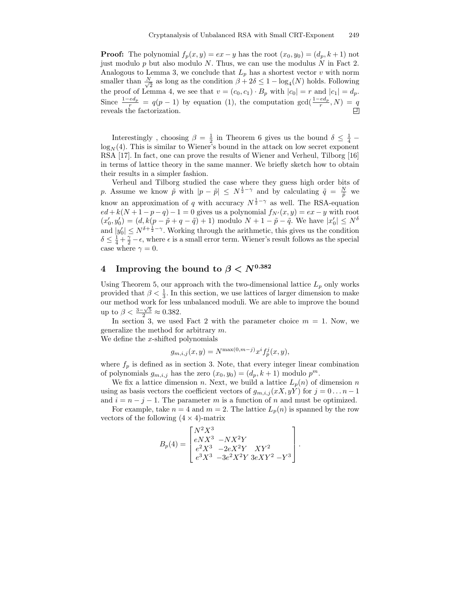**Proof:** The polynomial  $f_p(x, y) = ex - y$  has the root  $(x_0, y_0) = (d_p, k+1)$  not just modulo  $p$  but also modulo  $N$ . Thus, we can use the modulus  $N$  in Fact 2. Analogous to Lemma 3, we conclude that  $L_p$  has a shortest vector v with norm smaller than  $\frac{N}{\sqrt{2}}$  $\frac{1}{2}$  as long as the condition  $\beta + 2\delta \leq 1 - \log_4(N)$  holds. Following the proof of Lemma 4, we see that  $v = (c_0, c_1) \cdot B_p$  with  $|c_0| = r$  and  $|c_1| = d_p$ . Since  $\frac{1-e d_p}{r} = q(p-1)$  by equation (1), the computation gcd( $\frac{1-e d_p}{r}$ , N) =  $\frac{q}{r}$ reveals the factorization.

Interestingly, choosing  $\beta = \frac{1}{2}$  in Theorem 6 gives us the bound  $\delta \leq \frac{1}{4}$  $\log_N(4)$ . This is similar to Wiener's bound in the attack on low secret exponent RSA [17]. In fact, one can prove the results of Wiener and Verheul, Tilborg [16] in terms of lattice theory in the same manner. We briefly sketch how to obtain their results in a simpler fashion.

Verheul and Tilborg studied the case where they guess high order bits of p. Assume we know  $\tilde{p}$  with  $|p - \tilde{p}| \leq N^{\frac{1}{2} - \gamma}$  and by calculating  $\tilde{q} = \frac{N}{\tilde{p}}$  we know an approximation of q with accuracy  $N^{\frac{1}{2}-\gamma}$  as well. The RSA-equation  $ed + k(N + 1 - p - q) - 1 = 0$  gives us a polynomial  $f_{N'}(x, y) = ex - y$  with root  $(x'_0, y'_0) = (d, k(p - \tilde{p} + q - \tilde{q}) + 1)$  modulo  $N + 1 - \tilde{p} - \tilde{q}$ . We have  $|x'_0| \leq N^{\delta}$ and  $|y'_0| \leq N^{\delta + \frac{1}{2} - \gamma}$ . Working through the arithmetic, this gives us the condition  $\delta \leq \frac{1}{4} + \frac{\gamma}{2} - \epsilon$ , where  $\epsilon$  is a small error term. Wiener's result follows as the special case where  $\gamma = 0$ .

## 4 Improving the bound to  $\beta < N^{0.382}$

Using Theorem 5, our approach with the two-dimensional lattice  $L_p$  only works provided that  $\beta < \frac{1}{3}$ . In this section, we use lattices of larger dimension to make our method work for less unbalanced moduli. We are able to improve the bound up to  $\beta < \frac{3-\sqrt{5}}{2} \approx 0.382$ .

In section 3, we used Fact 2 with the parameter choice  $m = 1$ . Now, we generalize the method for arbitrary m.

We define the x-shifted polynomials

$$
g_{m,i,j}(x,y) = N^{\max(0,m-j)} x^i f_p^j(x,y),
$$

where  $f_p$  is defined as in section 3. Note, that every integer linear combination of polynomials  $g_{m,i,j}$  has the zero  $(x_0, y_0) = (d_p, k+1)$  modulo  $p^m$ .

We fix a lattice dimension n. Next, we build a lattice  $L_p(n)$  of dimension n using as basis vectors the coefficient vectors of  $g_{m,i,j}(xX, yY)$  for  $j = 0...n - 1$ and  $i = n - j - 1$ . The parameter m is a function of n and must be optimized.

For example, take  $n = 4$  and  $m = 2$ . The lattice  $L_p(n)$  is spanned by the row vectors of the following  $(4 \times 4)$ -matrix

$$
B_p(4) = \begin{bmatrix} N^2 X^3 & -NX^2 Y \\ e^2 X^3 & -2eX^2 Y & XY^2 \\ e^3 X^3 & -3e^2 X^2 Y & 3eXY^2 - Y^3 \end{bmatrix}.
$$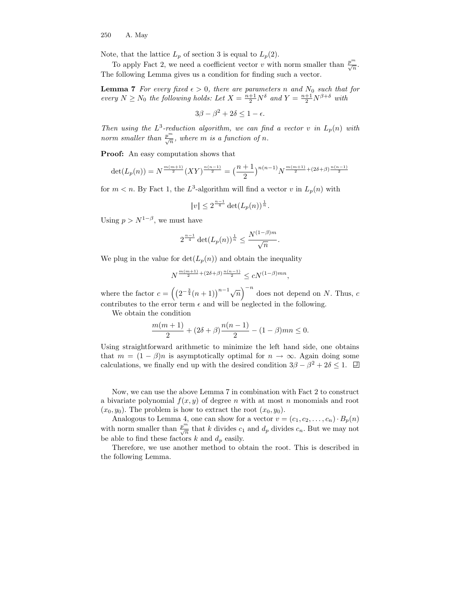Note, that the lattice  $L_p$  of section 3 is equal to  $L_p(2)$ .

To apply Fact 2, we need a coefficient vector v with norm smaller than  $\frac{p^m}{\sqrt{n}}$ . The following Lemma gives us a condition for finding such a vector.

**Lemma 7** For every fixed  $\epsilon > 0$ , there are parameters n and N<sub>0</sub> such that for every  $N \ge N_0$  the following holds: Let  $X = \frac{n+1}{2}N^{\delta}$  and  $Y = \frac{n+1}{2}N^{\beta+\delta}$  with

$$
3\beta - \beta^2 + 2\delta \le 1 - \epsilon.
$$

Then using the  $L^3$ -reduction algorithm, we can find a vector v in  $L_p(n)$  with norm smaller than  $\frac{p^m}{\sqrt{n}}$ , where m is a function of n.

Proof: An easy computation shows that

$$
\det(L_p(n)) = N^{\frac{m(m+1)}{2}} (XY)^{\frac{n(n-1)}{2}} = \left(\frac{n+1}{2}\right)^{n(n-1)} N^{\frac{m(m+1)}{2} + (2\delta + \beta)\frac{n(n-1)}{2}}
$$

for  $m < n$ . By Fact 1, the  $L^3$ -algorithm will find a vector v in  $L_p(n)$  with

$$
||v|| \leq 2^{\frac{n-1}{4}} \det(L_p(n))^{\frac{1}{n}}.
$$

Using  $p > N^{1-\beta}$ , we must have

$$
2^{\frac{n-1}{4}}\det(L_p(n))^{\frac{1}{n}} \leq \frac{N^{(1-\beta)m}}{\sqrt{n}}.
$$

We plug in the value for  $\det(L_p(n))$  and obtain the inequality

$$
N^{\frac{m(m+1)}{2} + (2\delta + \beta)\frac{n(n-1)}{2}} \le cN^{(1-\beta)mn},
$$

where the factor  $c = \left( \left(2^{-\frac{3}{4}}(n+1)\right)^{n-1}\sqrt{n}\right)^{-n}$  does not depend on N. Thus, c contributes to the error term  $\epsilon$  and will be neglected in the following.

We obtain the condition

$$
\frac{m(m+1)}{2} + (2\delta + \beta)\frac{n(n-1)}{2} - (1-\beta)mn \le 0.
$$

Using straightforward arithmetic to minimize the left hand side, one obtains that  $m = (1 - \beta)n$  is asymptotically optimal for  $n \to \infty$ . Again doing some calculations, we finally end up with the desired condition  $3\beta - \beta^2 + 2\delta \le 1$ .

Now, we can use the above Lemma 7 in combination with Fact 2 to construct a bivariate polynomial  $f(x, y)$  of degree n with at most n monomials and root  $(x_0, y_0)$ . The problem is how to extract the root  $(x_0, y_0)$ .

Analogous to Lemma 4, one can show for a vector  $v = (c_1, c_2, \ldots, c_n) \cdot B_p(n)$ with norm smaller than  $\frac{p^m}{\sqrt{n}}$  that k divides  $c_1$  and  $d_p$  divides  $c_n$ . But we may not be able to find these factors  $k$  and  $d_p$  easily.

Therefore, we use another method to obtain the root. This is described in the following Lemma.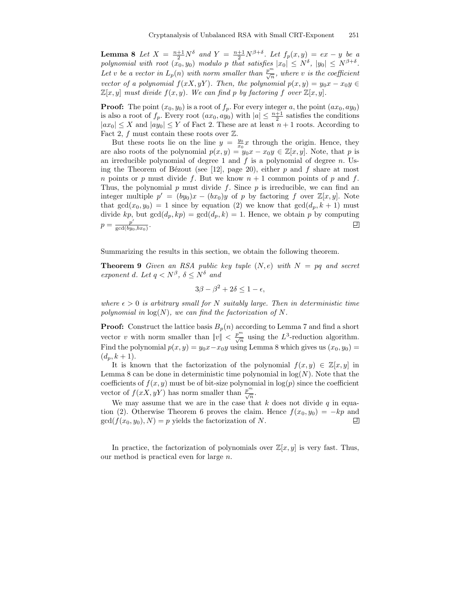**Lemma 8** Let  $X = \frac{n+1}{2}N^{\delta}$  and  $Y = \frac{n+1}{2}N^{\beta+\delta}$ . Let  $f_p(x, y) = ex - y$  be a polynomial with root  $(x_0, y_0)$  modulo p that satisfies  $|x_0| \leq N^{\delta}$ ,  $|y_0| \leq N^{\beta+\delta}$ . Let v be a vector in  $L_p(n)$  with norm smaller than  $\frac{p^m}{\sqrt{n}}$ , where v is the coefficient vector of a polynomial  $f(xX, yY)$ . Then, the polynomial  $p(x, y) = y_0x - x_0y$  $\mathbb{Z}[x, y]$  must divide  $f(x, y)$ . We can find p by factoring f over  $\mathbb{Z}[x, y]$ .

**Proof:** The point  $(x_0, y_0)$  is a root of  $f_p$ . For every integer a, the point  $(ax_0, ay_0)$ is also a root of  $f_p$ . Every root  $(ax_0, ay_0)$  with  $|a| \leq \frac{n+1}{2}$  satisfies the conditions  $|ax_0| \leq X$  and  $|ay_0| \leq Y$  of Fact 2. These are at least  $n+1$  roots. According to Fact 2, f must contain these roots over  $\mathbb{Z}$ .

But these roots lie on the line  $y = \frac{y_0}{x_0}x$  through the origin. Hence, they are also roots of the polynomial  $p(x, y) = y_0 x - x_0 y \in \mathbb{Z}[x, y]$ . Note, that p is an irreducible polynomial of degree 1 and  $f$  is a polynomial of degree  $n$ . Using the Theorem of Bézout (see [12], page 20), either  $p$  and  $f$  share at most n points or p must divide f. But we know  $n + 1$  common points of p and f. Thus, the polynomial p must divide f. Since  $p$  is irreducible, we can find an integer multiple  $p' = (by_0)x - (bx_0)y$  of p by factoring f over  $\mathbb{Z}[x, y]$ . Note that  $gcd(x_0, y_0) = 1$  since by equation (2) we know that  $gcd(d_p, k + 1)$  must divide kp, but  $gcd(d_p, kp) = gcd(d_p, k) = 1$ . Hence, we obtain p by computing  $p = \frac{p'}{\gcd(bu)}$ . 回  $\gcd(by_0,bx_0)$ 

Summarizing the results in this section, we obtain the following theorem.

**Theorem 9** Given an RSA public key tuple  $(N, e)$  with  $N = pq$  and secret exponent d. Let  $q \langle N^{\beta}, \delta \leq N^{\delta} \rangle$  and

$$
3\beta - \beta^2 + 2\delta \le 1 - \epsilon,
$$

where  $\epsilon > 0$  is arbitrary small for N suitably large. Then in deterministic time polynomial in  $log(N)$ , we can find the factorization of N.

**Proof:** Construct the lattice basis  $B_p(n)$  according to Lemma 7 and find a short vector v with norm smaller than  $||v|| < \frac{p^m}{\sqrt{n}}$  using the L<sup>3</sup>-reduction algorithm. Find the polynomial  $p(x, y) = y_0 x - x_0 y$  using Lemma 8 which gives us  $(x_0, y_0) =$  $(d_p, k + 1).$ 

It is known that the factorization of the polynomial  $f(x, y) \in \mathbb{Z}[x, y]$  in Lemma 8 can be done in deterministic time polynomial in  $log(N)$ . Note that the coefficients of  $f(x, y)$  must be of bit-size polynomial in  $log(p)$  since the coefficient vector of  $f(xX, yY)$  has norm smaller than  $\frac{p^m}{\sqrt{n}}$ .

We may assume that we are in the case that  $k$  does not divide  $q$  in equation (2). Otherwise Theorem 6 proves the claim. Hence  $f(x_0, y_0) = -kp$  and  $gcd(f(x_0, y_0), N) = p$  yields the factorization of N.  $gcd(f(x_0, y_0), N) = p$  yields the factorization of N.

In practice, the factorization of polynomials over  $\mathbb{Z}[x, y]$  is very fast. Thus, our method is practical even for large n.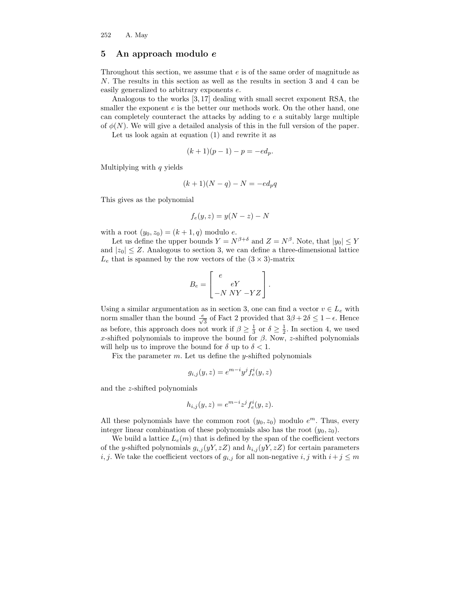#### 5 An approach modulo e

Throughout this section, we assume that e is of the same order of magnitude as N. The results in this section as well as the results in section 3 and 4 can be easily generalized to arbitrary exponents e.

Analogous to the works [3, 17] dealing with small secret exponent RSA, the smaller the exponent  $e$  is the better our methods work. On the other hand, one can completely counteract the attacks by adding to e a suitably large multiple of  $\phi(N)$ . We will give a detailed analysis of this in the full version of the paper.

Let us look again at equation (1) and rewrite it as

$$
(k+1)(p-1) - p = -ed_p.
$$

Multiplying with  $q$  yields

$$
(k+1)(N-q) - N = -ed_p q
$$

This gives as the polynomial

$$
f_e(y, z) = y(N - z) - N
$$

with a root  $(y_0, z_0) = (k + 1, q)$  modulo e.

Let us define the upper bounds  $Y = N^{\beta+\delta}$  and  $Z = N^{\beta}$ . Note, that  $|y_0| \leq Y$ and  $|z_0| \leq Z$ . Analogous to section 3, we can define a three-dimensional lattice  $L_e$  that is spanned by the row vectors of the  $(3 \times 3)$ -matrix

$$
B_e = \begin{bmatrix} e \\ eY \\ -N \; NY - YZ \end{bmatrix}.
$$

Using a similar argumentation as in section 3, one can find a vector  $v \in L_e$  with norm smaller than the bound  $\frac{e}{\sqrt{3}}$  of Fact 2 provided that  $3\beta + 2\delta \leq 1 - \epsilon$ . Hence as before, this approach does not work if  $\beta \geq \frac{1}{3}$  or  $\delta \geq \frac{1}{2}$ . In section 4, we used x-shifted polynomials to improve the bound for  $\beta$ . Now, z-shifted polynomials will help us to improve the bound for  $\delta$  up to  $\delta$  < 1.

Fix the parameter  $m$ . Let us define the *y*-shifted polynomials

$$
g_{i,j}(y,z) = e^{m-i}y^j f_e^i(y,z)
$$

and the z-shifted polynomials

$$
h_{i,j}(y,z) = e^{m-i}z^j f_e^i(y,z).
$$

All these polynomials have the common root  $(y_0, z_0)$  modulo  $e^m$ . Thus, every integer linear combination of these polynomials also has the root  $(y_0, z_0)$ .

We build a lattice  $L_e(m)$  that is defined by the span of the coefficient vectors of the y-shifted polynomials  $g_{i,j}(yY, zZ)$  and  $h_{i,j}(yY, zZ)$  for certain parameters i, j. We take the coefficient vectors of  $g_{i,j}$  for all non-negative i, j with  $i+j \leq m$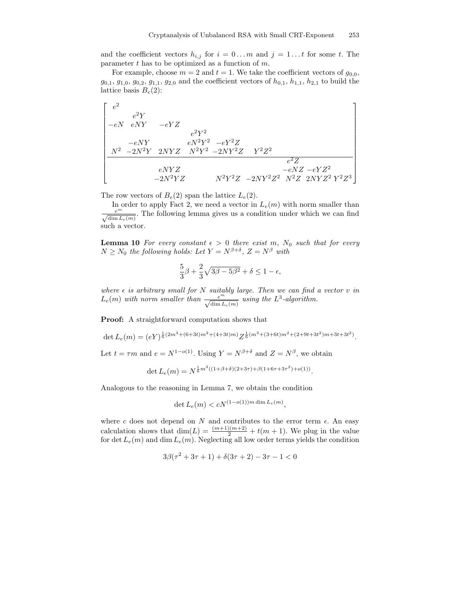and the coefficient vectors  $h_{i,j}$  for  $i = 0...m$  and  $j = 1...t$  for some t. The parameter  $t$  has to be optimized as a function of  $m$ .

For example, choose  $m = 2$  and  $t = 1$ . We take the coefficient vectors of  $g_{0,0}$ ,  $g_{0,1}, g_{1,0}, g_{0,2}, g_{1,1}, g_{2,0}$  and the coefficient vectors of  $h_{0,1}, h_{1,1}, h_{2,1}$  to build the lattice basis  $B_e(2)$ :

 e 2 e 2Y −eN eNY −eY Z e 2Y 2 <sup>−</sup>eNY eN<sup>2</sup><sup>Y</sup> <sup>2</sup> <sup>−</sup>eY <sup>2</sup><sup>Z</sup> <sup>N</sup><sup>2</sup> <sup>−</sup>2N<sup>2</sup><sup>Y</sup> <sup>2</sup>NY <sup>Z</sup> <sup>N</sup><sup>2</sup><sup>Y</sup> <sup>2</sup> <sup>−</sup>2NY <sup>2</sup>Z Y <sup>2</sup>Z 2 e <sup>2</sup>Z eNY Z −eNZ −eY Z 2 <sup>−</sup>2N<sup>2</sup><sup>Y</sup> <sup>Z</sup> <sup>N</sup><sup>2</sup><sup>Y</sup> <sup>2</sup><sup>Z</sup> <sup>−</sup>2NY <sup>2</sup>Z <sup>2</sup> N<sup>2</sup>Z 2NY Z <sup>2</sup> Y <sup>2</sup>Z 3 

The row vectors of  $B_e(2)$  span the lattice  $L_e(2)$ .

In order to apply Fact 2, we need a vector in  $L_e(m)$  with norm smaller than  $\frac{e^m}{\sqrt{\dim L_e(m)}}$ . The following lemma gives us a condition under which we can find such a vector.

**Lemma 10** For every constant  $\epsilon > 0$  there exist m, N<sub>0</sub> such that for every  $N \geq N_0$  the following holds: Let  $Y = N^{\beta+\delta}$ ,  $Z = N^{\beta}$  with

$$
\frac{5}{3}\beta + \frac{2}{3}\sqrt{3\beta - 5\beta^2} + \delta \le 1 - \epsilon,
$$

where  $\epsilon$  is arbitrary small for N suitably large. Then we can find a vector v in  $L_e(m)$  with norm smaller than  $\frac{e^m}{\sqrt{\dim L_e(m)}}$  using the  $L^3$ -algorithm.

Proof: A straightforward computation shows that

det  $L_e(m) = (eY)^{\frac{1}{6}(2m^3 + (6+3t)m^2 + (4+3t)m)} Z^{\frac{1}{6}(m^3 + (3+6t)m^2 + (2+9t+3t^2)m + 3t + 3t^2)}$ .

Let  $t = \tau m$  and  $e = N^{1-o(1)}$ . Using  $Y = N^{\beta+\delta}$  and  $Z = N^{\beta}$ , we obtain

$$
\det L_e(m) = N^{\frac{1}{6}m^3((1+\beta+\delta)(2+3\tau)+\beta(1+6\tau+3\tau^2)+o(1))}.
$$

Analogous to the reasoning in Lemma 7, we obtain the condition

$$
\det L_e(m) < cN^{(1-o(1))m \dim L_e(m)},
$$

where c does not depend on N and contributes to the error term  $\epsilon$ . An easy calculation shows that  $\dim(L) = \frac{(m+1)(m+2)}{2} + t(m+1)$ . We plug in the value for det  $L_e(m)$  and dim  $L_e(m)$ . Neglecting all low order terms yields the condition

$$
3\beta(\tau^2 + 3\tau + 1) + \delta(3\tau + 2) - 3\tau - 1 < 0
$$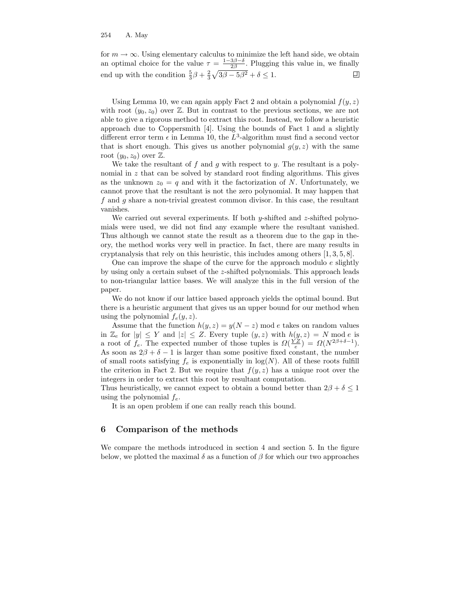for  $m \to \infty$ . Using elementary calculus to minimize the left hand side, we obtain an optimal choice for the value  $\tau = \frac{1-3\beta-\delta}{2\beta}$ . Plugging this value in, we finally end up with the condition  $\frac{5}{3}\beta + \frac{2}{3}\sqrt{3\beta - 5\beta^2} + \delta \le 1$ .

Using Lemma 10, we can again apply Fact 2 and obtain a polynomial  $f(y, z)$ with root  $(y_0, z_0)$  over  $\mathbb{Z}$ . But in contrast to the previous sections, we are not able to give a rigorous method to extract this root. Instead, we follow a heuristic approach due to Coppersmith [4]. Using the bounds of Fact 1 and a slightly different error term  $\epsilon$  in Lemma 10, the  $L^3$ -algorithm must find a second vector that is short enough. This gives us another polynomial  $g(y, z)$  with the same root  $(y_0, z_0)$  over  $\mathbb{Z}$ .

We take the resultant of  $f$  and  $g$  with respect to  $y$ . The resultant is a polynomial in z that can be solved by standard root finding algorithms. This gives as the unknown  $z_0 = q$  and with it the factorization of N. Unfortunately, we cannot prove that the resultant is not the zero polynomial. It may happen that f and g share a non-trivial greatest common divisor. In this case, the resultant vanishes.

We carried out several experiments. If both  $y$ -shifted and  $z$ -shifted polynomials were used, we did not find any example where the resultant vanished. Thus although we cannot state the result as a theorem due to the gap in theory, the method works very well in practice. In fact, there are many results in cryptanalysis that rely on this heuristic, this includes among others [1, 3, 5, 8].

One can improve the shape of the curve for the approach modulo e slightly by using only a certain subset of the z-shifted polynomials. This approach leads to non-triangular lattice bases. We will analyze this in the full version of the paper.

We do not know if our lattice based approach yields the optimal bound. But there is a heuristic argument that gives us an upper bound for our method when using the polynomial  $f_e(y, z)$ .

Assume that the function  $h(y, z) = y(N - z) \text{ mod } e$  takes on random values in  $\mathbb{Z}_e$  for  $|y| \leq Y$  and  $|z| \leq Z$ . Every tuple  $(y, z)$  with  $h(y, z) = N \text{ mod } e$  is a root of  $f_e$ . The expected number of those tuples is  $\Omega(\frac{YZ}{e}) = \Omega(N^{2\beta + \delta - 1})$ . As soon as  $2\beta + \delta - 1$  is larger than some positive fixed constant, the number of small roots satisfying  $f_e$  is exponentially in  $log(N)$ . All of these roots fulfill the criterion in Fact 2. But we require that  $f(y, z)$  has a unique root over the integers in order to extract this root by resultant computation.

Thus heuristically, we cannot expect to obtain a bound better than  $2\beta + \delta \leq 1$ using the polynomial  $f_e$ .

It is an open problem if one can really reach this bound.

#### 6 Comparison of the methods

We compare the methods introduced in section 4 and section 5. In the figure below, we plotted the maximal  $\delta$  as a function of  $\beta$  for which our two approaches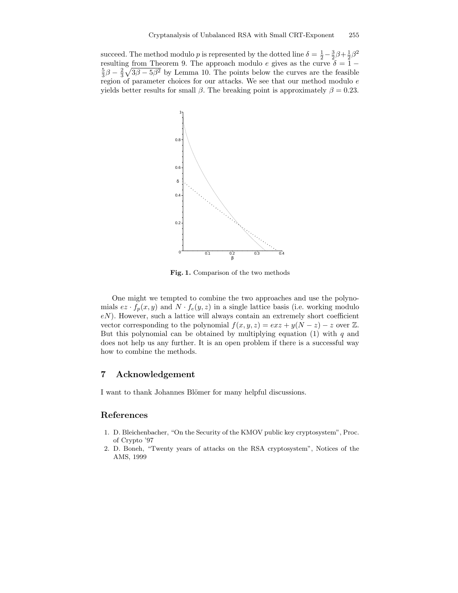succeed. The method modulo p is represented by the dotted line  $\delta = \frac{1}{2} - \frac{3}{2}\beta + \frac{1}{2}\beta^2$ resulting from Theorem 9. The approach modulo e gives as the curve  $\delta = 1 \frac{5}{3}\beta - \frac{2}{3}\sqrt{3\beta - 5\beta^2}$  by Lemma 10. The points below the curves are the feasible region of parameter choices for our attacks. We see that our method modulo  $\boldsymbol{e}$ yields better results for small  $\beta$ . The breaking point is approximately  $\beta = 0.23$ .



Fig. 1. Comparison of the two methods

One might we tempted to combine the two approaches and use the polynomials  $ez \cdot f_p(x, y)$  and  $N \cdot f_e(y, z)$  in a single lattice basis (i.e. working modulo  $eN$ ). However, such a lattice will always contain an extremely short coefficient vector corresponding to the polynomial  $f(x, y, z) = e x z + y(N - z) - z$  over Z. But this polynomial can be obtained by multiplying equation  $(1)$  with q and does not help us any further. It is an open problem if there is a successful way how to combine the methods.

### 7 Acknowledgement

I want to thank Johannes Blömer for many helpful discussions.

### References

- 1. D. Bleichenbacher, "On the Security of the KMOV public key cryptosystem", Proc. of Crypto '97
- 2. D. Boneh, "Twenty years of attacks on the RSA cryptosystem", Notices of the AMS, 1999